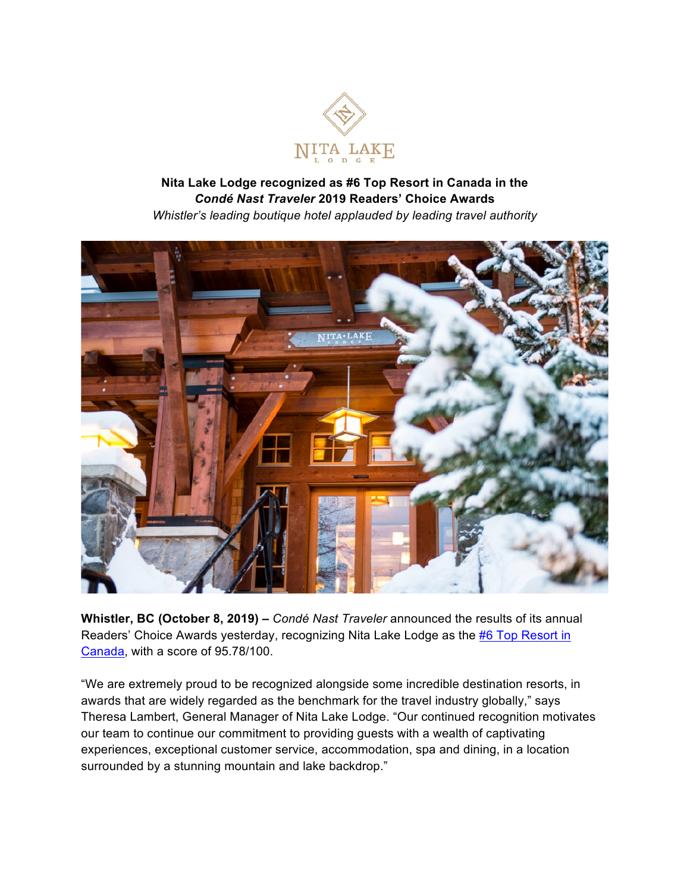

## **Nita Lake Lodge recognized as #6 Top Resort in Canada in the** *Condé Nast Traveler* **2019 Readers' Choice Awards** *Whistler's leading boutique hotel applauded by leading travel authority*



**Whistler, BC (October 8, 2019) –** *Condé Nast Traveler* announced the results of its annual Readers' Choice Awards yesterday, recognizing Nita Lake Lodge as the #6 Top Resort in Canada, with a score of 95.78/100.

"We are extremely proud to be recognized alongside some incredible destination resorts, in awards that are widely regarded as the benchmark for the travel industry globally," says Theresa Lambert, General Manager of Nita Lake Lodge. "Our continued recognition motivates our team to continue our commitment to providing guests with a wealth of captivating experiences, exceptional customer service, accommodation, spa and dining, in a location surrounded by a stunning mountain and lake backdrop."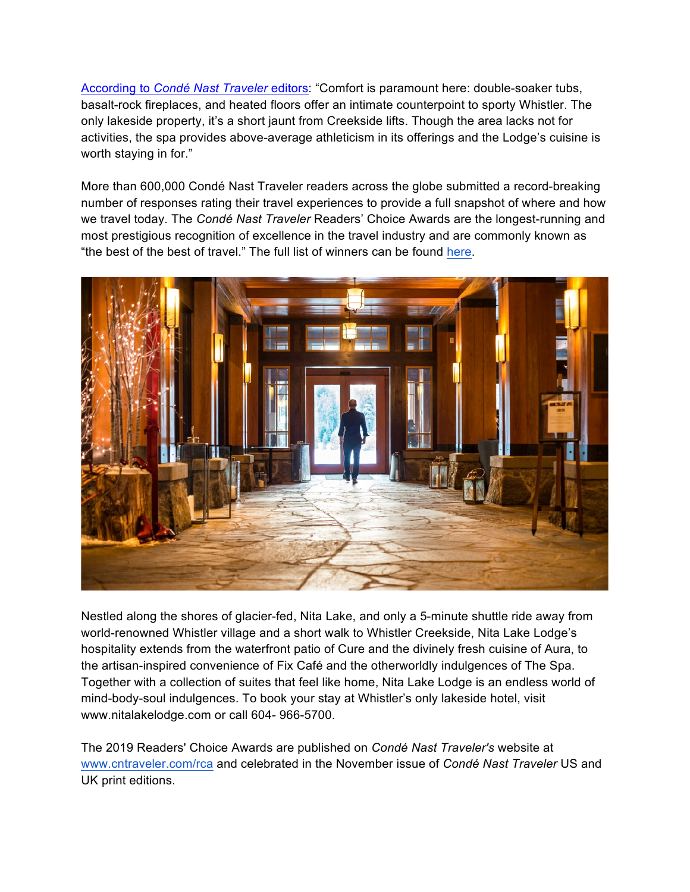According to *Condé Nast Traveler* editors: "Comfort is paramount here: double-soaker tubs, basalt-rock fireplaces, and heated floors offer an intimate counterpoint to sporty Whistler. The only lakeside property, it's a short jaunt from Creekside lifts. Though the area lacks not for activities, the spa provides above-average athleticism in its offerings and the Lodge's cuisine is worth staying in for."

More than 600,000 Condé Nast Traveler readers across the globe submitted a record-breaking number of responses rating their travel experiences to provide a full snapshot of where and how we travel today. The *Condé Nast Traveler* Readers' Choice Awards are the longest-running and most prestigious recognition of excellence in the travel industry and are commonly known as "the best of the best of travel." The full list of winners can be found here.



Nestled along the shores of glacier-fed, Nita Lake, and only a 5-minute shuttle ride away from world-renowned Whistler village and a short walk to Whistler Creekside, Nita Lake Lodge's hospitality extends from the waterfront patio of Cure and the divinely fresh cuisine of Aura, to the artisan-inspired convenience of Fix Café and the otherworldly indulgences of The Spa. Together with a collection of suites that feel like home, Nita Lake Lodge is an endless world of mind-body-soul indulgences. To book your stay at Whistler's only lakeside hotel, visit www.nitalakelodge.com or call 604- 966-5700.

The 2019 Readers' Choice Awards are published on *Condé Nast Traveler's* website at www.cntraveler.com/rca and celebrated in the November issue of *Condé Nast Traveler* US and UK print editions.